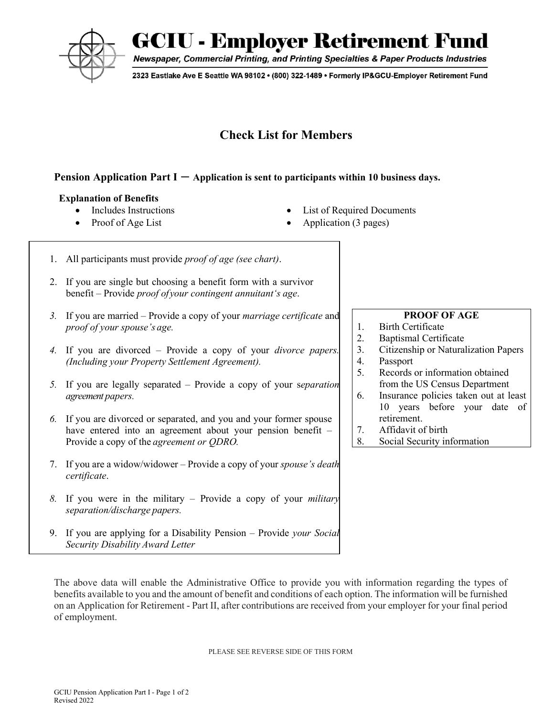

**GCIU - Employer Retirement Fund** 

Newspaper, Commercial Printing, and Printing Specialties & Paper Products Industries

2323 Eastlake Ave E Seattle WA 98102 • (800) 322-1489 • Formerly IP&GCU-Employer Retirement Fund

# **Check List for Members**

### **Pension Application Part I – Application is sent to participants within 10 business days.**

#### **Explanation of Benefits**

- 
- 
- Includes Instructions List of Required Documents
- Proof of Age List Application (3 pages)
- 1. All participants must provide *proof of age (see chart)*.
- 2. If you are single but choosing a benefit form with a survivor benefit – Provide *proof of your contingent annuitant's age*.
- *3.* If you are married Provide a copy of your *marriage certificate* and *proof of your spouse's age.*
- *4.* If you are divorced Provide a copy of your *divorce papers. (Including your Property Settlement Agreement).*
- *5.* If you are legally separated Provide a copy of your s*eparation agreement papers.*
- *6.* If you are divorced or separated, and you and your former spouse have entered into an agreement about your pension benefit – Provide a copy of the *agreement or QDRO.*
- 7. If you are a widow/widower Provide a copy of your *spouse's death certificate*.
- *8.* If you were in the military Provide a copy of your *military separation/discharge papers.*
- 9. If you are applying for a Disability Pension Provide *your Social Security Disability Award Letter*

#### **PROOF OF AGE**

- 1. Birth Certificate
- 2. Baptismal Certificate
- 3. Citizenship or Naturalization Papers
- 4. Passport
- 5. Records or information obtained from the US Census Department
- 6. Insurance policies taken out at least 10 years before your date of retirement.
- 7. Affidavit of birth
- 8. Social Security information

The above data will enable the Administrative Office to provide you with information regarding the types of benefits available to you and the amount of benefit and conditions of each option. The information will be furnished on an Application for Retirement - Part II, after contributions are received from your employer for your final period of employment.